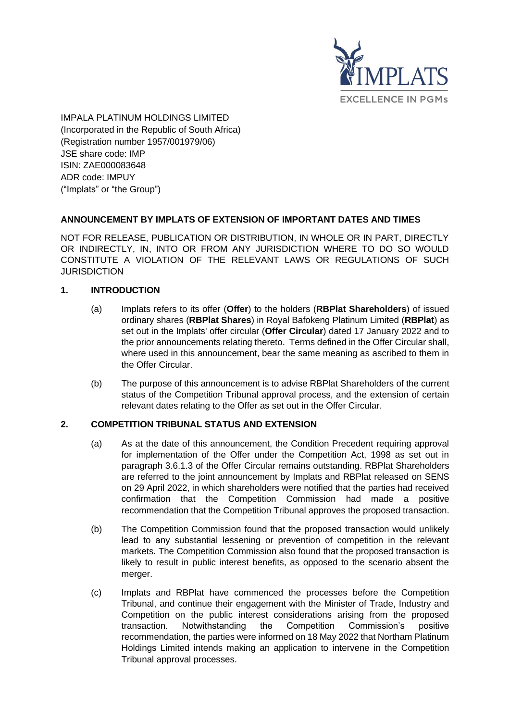

IMPALA PLATINUM HOLDINGS LIMITED (Incorporated in the Republic of South Africa) (Registration number 1957/001979/06) JSE share code: IMP ISIN: ZAE000083648 ADR code: IMPUY ("Implats" or "the Group")

## **ANNOUNCEMENT BY IMPLATS OF EXTENSION OF IMPORTANT DATES AND TIMES**

NOT FOR RELEASE, PUBLICATION OR DISTRIBUTION, IN WHOLE OR IN PART, DIRECTLY OR INDIRECTLY, IN, INTO OR FROM ANY JURISDICTION WHERE TO DO SO WOULD CONSTITUTE A VIOLATION OF THE RELEVANT LAWS OR REGULATIONS OF SUCH **JURISDICTION** 

## **1. INTRODUCTION**

- (a) Implats refers to its offer (**Offer**) to the holders (**RBPlat Shareholders**) of issued ordinary shares (**RBPlat Shares**) in Royal Bafokeng Platinum Limited (**RBPlat**) as set out in the Implats' offer circular (**Offer Circular**) dated 17 January 2022 and to the prior announcements relating thereto. Terms defined in the Offer Circular shall, where used in this announcement, bear the same meaning as ascribed to them in the Offer Circular.
- (b) The purpose of this announcement is to advise RBPlat Shareholders of the current status of the Competition Tribunal approval process, and the extension of certain relevant dates relating to the Offer as set out in the Offer Circular.

## **2. COMPETITION TRIBUNAL STATUS AND EXTENSION**

- (a) As at the date of this announcement, the Condition Precedent requiring approval for implementation of the Offer under the Competition Act, 1998 as set out in paragraph 3.6.1.3 of the Offer Circular remains outstanding. RBPlat Shareholders are referred to the joint announcement by Implats and RBPlat released on SENS on 29 April 2022, in which shareholders were notified that the parties had received confirmation that the Competition Commission had made a positive recommendation that the Competition Tribunal approves the proposed transaction.
- (b) The Competition Commission found that the proposed transaction would unlikely lead to any substantial lessening or prevention of competition in the relevant markets. The Competition Commission also found that the proposed transaction is likely to result in public interest benefits, as opposed to the scenario absent the merger.
- (c) Implats and RBPlat have commenced the processes before the Competition Tribunal, and continue their engagement with the Minister of Trade, Industry and Competition on the public interest considerations arising from the proposed transaction. Notwithstanding the Competition Commission's positive recommendation, the parties were informed on 18 May 2022 that Northam Platinum Holdings Limited intends making an application to intervene in the Competition Tribunal approval processes.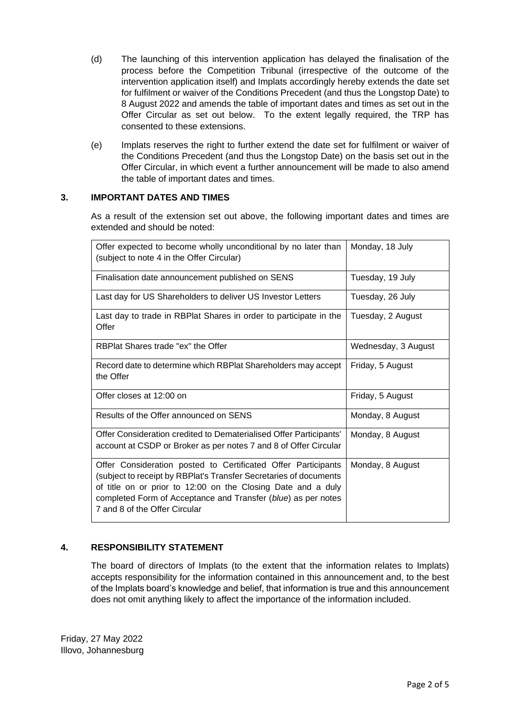- (d) The launching of this intervention application has delayed the finalisation of the process before the Competition Tribunal (irrespective of the outcome of the intervention application itself) and Implats accordingly hereby extends the date set for fulfilment or waiver of the Conditions Precedent (and thus the Longstop Date) to 8 August 2022 and amends the table of important dates and times as set out in the Offer Circular as set out below. To the extent legally required, the TRP has consented to these extensions.
- (e) Implats reserves the right to further extend the date set for fulfilment or waiver of the Conditions Precedent (and thus the Longstop Date) on the basis set out in the Offer Circular, in which event a further announcement will be made to also amend the table of important dates and times.

### **3. IMPORTANT DATES AND TIMES**

As a result of the extension set out above, the following important dates and times are extended and should be noted:

| Offer expected to become wholly unconditional by no later than<br>(subject to note 4 in the Offer Circular)                                                                                                                                                                                          | Monday, 18 July     |
|------------------------------------------------------------------------------------------------------------------------------------------------------------------------------------------------------------------------------------------------------------------------------------------------------|---------------------|
| Finalisation date announcement published on SENS                                                                                                                                                                                                                                                     | Tuesday, 19 July    |
| Last day for US Shareholders to deliver US Investor Letters                                                                                                                                                                                                                                          | Tuesday, 26 July    |
| Last day to trade in RBPlat Shares in order to participate in the<br>Offer                                                                                                                                                                                                                           | Tuesday, 2 August   |
| RBPlat Shares trade "ex" the Offer                                                                                                                                                                                                                                                                   | Wednesday, 3 August |
| Record date to determine which RBPlat Shareholders may accept<br>the Offer                                                                                                                                                                                                                           | Friday, 5 August    |
| Offer closes at 12:00 on                                                                                                                                                                                                                                                                             | Friday, 5 August    |
| Results of the Offer announced on SENS                                                                                                                                                                                                                                                               | Monday, 8 August    |
| Offer Consideration credited to Dematerialised Offer Participants'<br>account at CSDP or Broker as per notes 7 and 8 of Offer Circular                                                                                                                                                               | Monday, 8 August    |
| Offer Consideration posted to Certificated Offer Participants<br>(subject to receipt by RBPlat's Transfer Secretaries of documents<br>of title on or prior to 12:00 on the Closing Date and a duly<br>completed Form of Acceptance and Transfer (blue) as per notes<br>7 and 8 of the Offer Circular | Monday, 8 August    |

## **4. RESPONSIBILITY STATEMENT**

The board of directors of Implats (to the extent that the information relates to Implats) accepts responsibility for the information contained in this announcement and, to the best of the Implats board's knowledge and belief, that information is true and this announcement does not omit anything likely to affect the importance of the information included.

Friday, 27 May 2022 Illovo, Johannesburg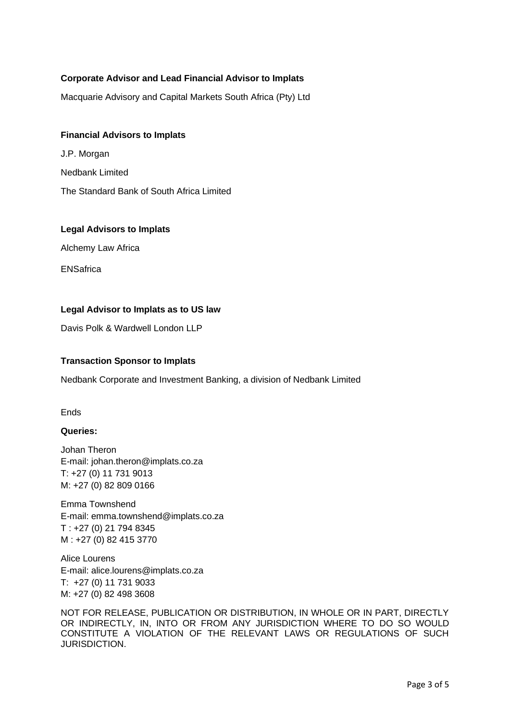# **Corporate Advisor and Lead Financial Advisor to Implats**

Macquarie Advisory and Capital Markets South Africa (Pty) Ltd

### **Financial Advisors to Implats**

J.P. Morgan Nedbank Limited The Standard Bank of South Africa Limited

#### **Legal Advisors to Implats**

Alchemy Law Africa

ENSafrica

#### **Legal Advisor to Implats as to US law**

Davis Polk & Wardwell London LLP

#### **Transaction Sponsor to Implats**

Nedbank Corporate and Investment Banking, a division of Nedbank Limited

Ends

#### **Queries:**

Johan Theron E-mail: [johan.theron@implats.co.za](mailto:johan.theron@implats.co.za) T: +27 (0) 11 731 9013 M: +27 (0) 82 809 0166

Emma Townshend E-mail: [emma.townshend@implats.co.za](mailto:emma.townshend@implats.co.za) T : +27 (0) 21 794 8345 M : +27 (0) 82 415 3770

Alice Lourens E-mail: [alice.lourens@implats.co.za](mailto:johan.theron@implats.co.za) T: +27 (0) 11 731 9033 M: +27 (0) 82 498 3608

NOT FOR RELEASE, PUBLICATION OR DISTRIBUTION, IN WHOLE OR IN PART, DIRECTLY OR INDIRECTLY, IN, INTO OR FROM ANY JURISDICTION WHERE TO DO SO WOULD CONSTITUTE A VIOLATION OF THE RELEVANT LAWS OR REGULATIONS OF SUCH JURISDICTION.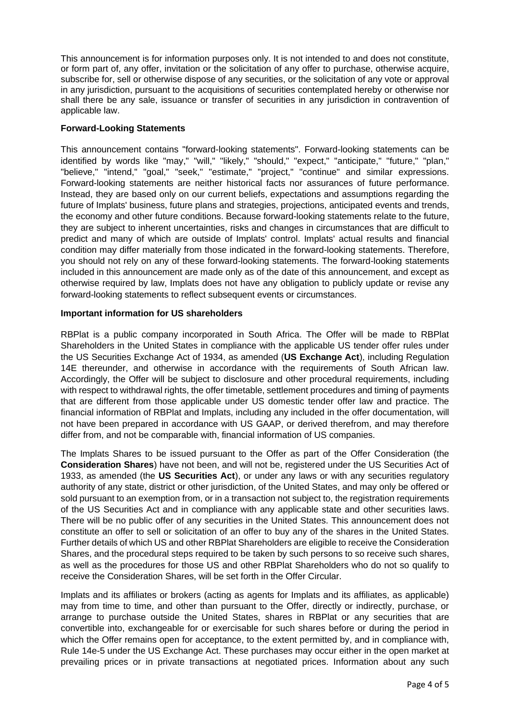This announcement is for information purposes only. It is not intended to and does not constitute, or form part of, any offer, invitation or the solicitation of any offer to purchase, otherwise acquire, subscribe for, sell or otherwise dispose of any securities, or the solicitation of any vote or approval in any jurisdiction, pursuant to the acquisitions of securities contemplated hereby or otherwise nor shall there be any sale, issuance or transfer of securities in any jurisdiction in contravention of applicable law.

### **Forward-Looking Statements**

This announcement contains "forward-looking statements". Forward-looking statements can be identified by words like "may," "will," "likely," "should," "expect," "anticipate," "future," "plan," "believe," "intend," "goal," "seek," "estimate," "project," "continue" and similar expressions. Forward-looking statements are neither historical facts nor assurances of future performance. Instead, they are based only on our current beliefs, expectations and assumptions regarding the future of Implats' business, future plans and strategies, projections, anticipated events and trends, the economy and other future conditions. Because forward-looking statements relate to the future, they are subject to inherent uncertainties, risks and changes in circumstances that are difficult to predict and many of which are outside of Implats' control. Implats' actual results and financial condition may differ materially from those indicated in the forward-looking statements. Therefore, you should not rely on any of these forward-looking statements. The forward-looking statements included in this announcement are made only as of the date of this announcement, and except as otherwise required by law, Implats does not have any obligation to publicly update or revise any forward-looking statements to reflect subsequent events or circumstances.

### **Important information for US shareholders**

RBPlat is a public company incorporated in South Africa. The Offer will be made to RBPlat Shareholders in the United States in compliance with the applicable US tender offer rules under the US Securities Exchange Act of 1934, as amended (**US Exchange Act**), including Regulation 14E thereunder, and otherwise in accordance with the requirements of South African law. Accordingly, the Offer will be subject to disclosure and other procedural requirements, including with respect to withdrawal rights, the offer timetable, settlement procedures and timing of payments that are different from those applicable under US domestic tender offer law and practice. The financial information of RBPlat and Implats, including any included in the offer documentation, will not have been prepared in accordance with US GAAP, or derived therefrom, and may therefore differ from, and not be comparable with, financial information of US companies.

The Implats Shares to be issued pursuant to the Offer as part of the Offer Consideration (the **Consideration Shares**) have not been, and will not be, registered under the US Securities Act of 1933, as amended (the **US Securities Act**), or under any laws or with any securities regulatory authority of any state, district or other jurisdiction, of the United States, and may only be offered or sold pursuant to an exemption from, or in a transaction not subject to, the registration requirements of the US Securities Act and in compliance with any applicable state and other securities laws. There will be no public offer of any securities in the United States. This announcement does not constitute an offer to sell or solicitation of an offer to buy any of the shares in the United States. Further details of which US and other RBPlat Shareholders are eligible to receive the Consideration Shares, and the procedural steps required to be taken by such persons to so receive such shares, as well as the procedures for those US and other RBPlat Shareholders who do not so qualify to receive the Consideration Shares, will be set forth in the Offer Circular.

Implats and its affiliates or brokers (acting as agents for Implats and its affiliates, as applicable) may from time to time, and other than pursuant to the Offer, directly or indirectly, purchase, or arrange to purchase outside the United States, shares in RBPlat or any securities that are convertible into, exchangeable for or exercisable for such shares before or during the period in which the Offer remains open for acceptance, to the extent permitted by, and in compliance with, Rule 14e-5 under the US Exchange Act. These purchases may occur either in the open market at prevailing prices or in private transactions at negotiated prices. Information about any such